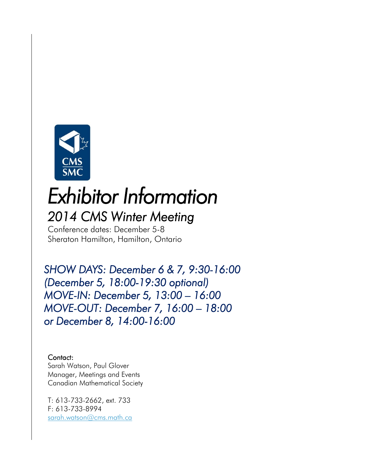

# *Exhibitor Information 2014 CMS Winter Meeting*

Conference dates: December 5-8 Sheraton Hamilton, Hamilton, Ontario

*SHOW DAYS: December 6 & 7, 9:30-16:00 (December 5, 18:00-19:30 optional) MOVE-IN: December 5, 13:00 – 16:00 MOVE-OUT: December 7, 16:00 – 18:00 or December 8, 14:00-16:00* 

#### Contact:

Sarah Watson, Paul Glover Manager, Meetings and Events Canadian Mathematical Society

T: 613-733-2662, ext. 733 F: 613-733-8994 [sarah.watson@cms.math.ca](mailto:sarah.watson@cms.math.ca)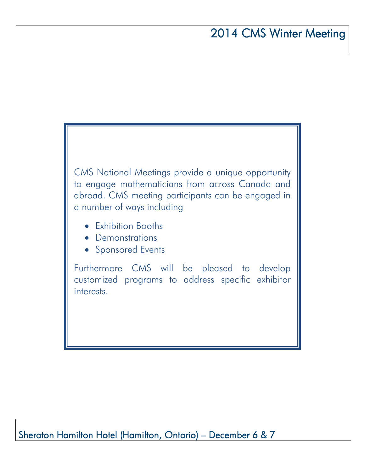CMS National Meetings provide a unique opportunity to engage mathematicians from across Canada and abroad. CMS meeting participants can be engaged in a number of ways including

- Exhibition Booths
- Demonstrations
- Sponsored Events

Furthermore CMS will be pleased to develop customized programs to address specific exhibitor interests.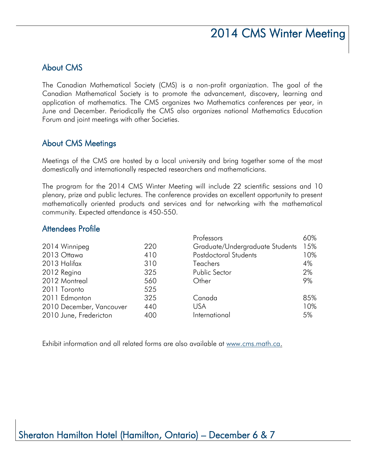## About CMS

The Canadian Mathematical Society (CMS) is a non-profit organization. The goal of the Canadian Mathematical Society is to promote the advancement, discovery, learning and application of mathematics. The CMS organizes two Mathematics conferences per year, in June and December. Periodically the CMS also organizes national Mathematics Education Forum and joint meetings with other Societies.

## About CMS Meetings

Meetings of the CMS are hosted by a local university and bring together some of the most domestically and internationally respected researchers and mathematicians.

The program for the 2014 CMS Winter Meeting will include 22 scientific sessions and 10 plenary, prize and public lectures. The conference provides an excellent opportunity to present mathematically oriented products and services and for networking with the mathematical community. Expected attendance is 450-550.

## Attendees Profile

|                          |     | Professors                      | 60% |
|--------------------------|-----|---------------------------------|-----|
| 2014 Winnipeg            | 220 | Graduate/Undergraduate Students | 15% |
| 2013 Ottawa              | 410 | Postdoctoral Students           | 10% |
| 2013 Halifax             | 310 | <b>Teachers</b>                 | 4%  |
| 2012 Regina              | 325 | Public Sector                   | 2%  |
| 2012 Montreal            | 560 | Other                           | 9%  |
| 2011 Toronto             | 525 |                                 |     |
| 2011 Edmonton            | 325 | Canada                          | 85% |
| 2010 December, Vancouver | 440 | <b>USA</b>                      | 10% |
| 2010 June, Fredericton   | 400 | International                   | 5%  |
|                          |     |                                 |     |

Exhibit information and all related forms are also available at [www.cms.math.ca.](http://www.cms.math.ca/)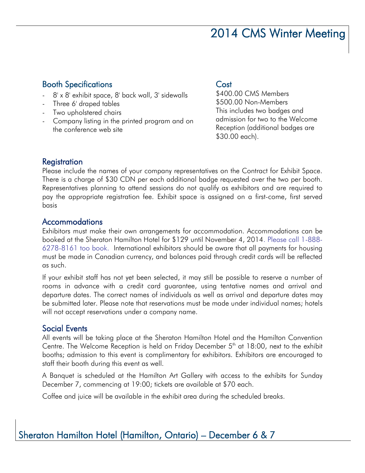## Booth Specifications

- 8' x 8' exhibit space, 8' back wall, 3' sidewalls
- Three 6' draped tables
- Two upholstered chairs
- Company listing in the printed program and on the conference web site

### **Cost**

\$400.00 CMS Members \$500.00 Non-Members This includes two badges and admission for two to the Welcome Reception (additional badges are \$30.00 each).

## **Registration**

Please include the names of your company representatives on the Contract for Exhibit Space. There is a charge of \$30 CDN per each additional badge requested over the two per booth. Representatives planning to attend sessions do not qualify as exhibitors and are required to pay the appropriate registration fee. Exhibit space is assigned on a first-come, first served basis

### Accommodations

Exhibitors must make their own arrangements for accommodation. Accommodations can be booked at the Sheraton Hamilton Hotel for \$129 until November 4, 2014. Please call 1-888- 6278-8161 too book. International exhibitors should be aware that all payments for housing must be made in Canadian currency, and balances paid through credit cards will be reflected as such.

If your exhibit staff has not yet been selected, it may still be possible to reserve a number of rooms in advance with a credit card guarantee, using tentative names and arrival and departure dates. The correct names of individuals as well as arrival and departure dates may be submitted later. Please note that reservations must be made under individual names; hotels will not accept reservations under a company name.

## Social Events

All events will be taking place at the Sheraton Hamilton Hotel and the Hamilton Convention Centre. The Welcome Reception is held on Friday December  $5<sup>th</sup>$  at 18:00, next to the exhibit booths; admission to this event is complimentary for exhibitors. Exhibitors are encouraged to staff their booth during this event as well.

A Banquet is scheduled at the Hamilton Art Gallery with access to the exhibits for Sunday December 7, commencing at 19:00; tickets are available at \$70 each.

Coffee and juice will be available in the exhibit area during the scheduled breaks.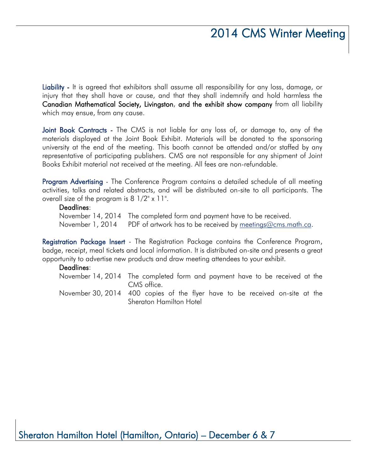Liability - It is agreed that exhibitors shall assume all responsibility for any loss, damage, or injury that they shall have or cause, and that they shall indemnify and hold harmless the Canadian Mathematical Society, Livingston, and the exhibit show company from all liability which may ensue, from any cause.

Joint Book Contracts - The CMS is not liable for any loss of, or damage to, any of the materials displayed at the Joint Book Exhibit. Materials will be donated to the sponsoring university at the end of the meeting. This booth cannot be attended and/or staffed by any representative of participating publishers. CMS are not responsible for any shipment of Joint Books Exhibit material not received at the meeting. All fees are non-refundable.

Program Advertising - The Conference Program contains a detailed schedule of all meeting activities, talks and related abstracts, and will be distributed on-site to all participants. The overall size of the program is 8 1/2" x 11".

#### Deadlines:

November 14, 2014 The completed form and payment have to be received. November 1, 2014 PDF of artwork has to be received by [meetings@cms.math.ca.](mailto:meetings@cms.math.ca)

Registration Package Insert - The Registration Package contains the Conference Program, badge, receipt, meal tickets and local information. It is distributed on-site and presents a great opportunity to advertise new products and draw meeting attendees to your exhibit.

#### Deadlines:

November 14, 2014 The completed form and payment have to be received at the CMS office.

November 30, 2014 400 copies of the flyer have to be received on-site at the Sheraton Hamilton Hotel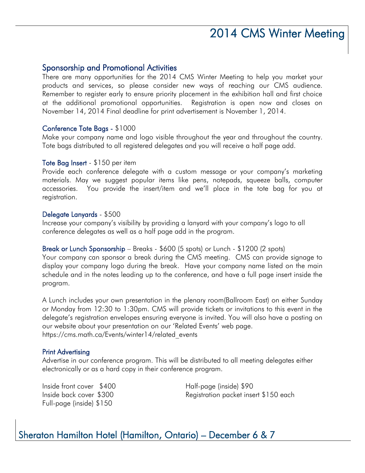### Sponsorship and Promotional Activities

There are many opportunities for the 2014 CMS Winter Meeting to help you market your products and services, so please consider new ways of reaching our CMS audience. Remember to register early to ensure priority placement in the exhibition hall and first choice at the additional promotional opportunities. Registration is open now and closes on November 14, 2014 Final deadline for print advertisement is November 1, 2014.

#### Conference Tote Bags - \$1000

Make your company name and logo visible throughout the year and throughout the country. Tote bags distributed to all registered delegates and you will receive a half page add.

#### Tote Bag Insert - \$150 per item

Provide each conference delegate with a custom message or your company's marketing materials. May we suggest popular items like pens, notepads, squeeze balls, computer accessories. You provide the insert/item and we'll place in the tote bag for you at registration.

#### Delegate Lanyards - \$500

Increase your company's visibility by providing a lanyard with your company's logo to all conference delegates as well as a half page add in the program.

#### Break or Lunch Sponsorship – Breaks - \$600 (5 spots) or Lunch - \$1200 (2 spots)

Your company can sponsor a break during the CMS meeting. CMS can provide signage to display your company logo during the break. Have your company name listed on the main schedule and in the notes leading up to the conference, and have a full page insert inside the program.

A Lunch includes your own presentation in the plenary room(Ballroom East) on either Sunday or Monday from 12:30 to 1:30pm. CMS will provide tickets or invitations to this event in the delegate's registration envelopes ensuring everyone is invited. You will also have a posting on our website about your presentation on our 'Related Events' web page. https://cms.math.ca/Events/winter14/related\_events

#### Print Advertising

Advertise in our conference program. This will be distributed to all meeting delegates either electronically or as a hard copy in their conference program.

Inside front cover \$400 Half-page (inside) \$90 Full-page (inside) \$150

Inside back cover \$300 Registration packet insert \$150 each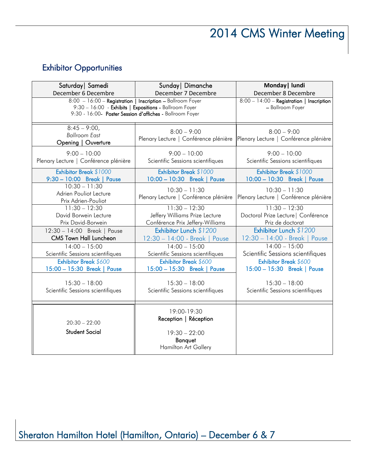# Exhibitor Opportunities

| Saturday   Samedi                                                                                                                                                                | Sunday   Dimanche                                                                                 | Monday   lundi                                                |  |
|----------------------------------------------------------------------------------------------------------------------------------------------------------------------------------|---------------------------------------------------------------------------------------------------|---------------------------------------------------------------|--|
| December 6 Decembre                                                                                                                                                              | December 7 Decembre                                                                               | December 8 Decembre                                           |  |
| 8:00 - 16:00 - Registration   Inscription - Ballroom Foyer<br>9:30 - 16:00 - Exhibits   Expositions - Ballroom Foyer<br>9:30 - 16:00- Poster Session d'affiches - Ballroom Foyer |                                                                                                   | 8:00 - 14:00 - Registration   Inscription<br>- Ballroom Foyer |  |
| $8:45 - 9:00$<br><b>Ballroom East</b><br>Opening   Ouverture                                                                                                                     | $8:00 - 9:00$<br>Plenary Lecture   Conférence plénière                                            | $8:00 - 9:00$<br>Plenary Lecture   Conférence plénière        |  |
| $9:00 - 10:00$                                                                                                                                                                   | $9:00 - 10:00$                                                                                    | $9:00 - 10:00$                                                |  |
| Plenary Lecture   Conférence plénière                                                                                                                                            | Scientific Sessions scientifiques                                                                 | Scientific Sessions scientifiques                             |  |
| Exhibitor Break \$1000                                                                                                                                                           | Exhibitor Break \$1000                                                                            | Exhibitor Break \$1000                                        |  |
| 9:30 - 10:00 Break   Pause                                                                                                                                                       | 10:00 - 10:30 Break   Pause                                                                       | 10:00 - 10:30 Break   Pause                                   |  |
| $10:30 - 11:30$<br>Adrien Pouliot Lecture<br>Prix Adrien-Pouliot                                                                                                                 | $10:30 - 11:30$<br>Plenary Lecture   Conférence plénière                                          | $10:30 - 11:30$<br>Plenary Lecture   Conférence plénière      |  |
| $11:30 - 12:30$                                                                                                                                                                  | $11:30 - 12:30$                                                                                   | $11:30 - 12:30$                                               |  |
| David Borwein Lecture                                                                                                                                                            | Jeffery Williams Prize Lecture                                                                    | Doctoral Prize Lecture   Conférence                           |  |
| Prix David-Borwein                                                                                                                                                               | Conférence Prix Jeffery-Williams                                                                  | Priz de doctorat                                              |  |
| 12:30 - 14:00 Break   Pause                                                                                                                                                      | Exhibitor Lunch \$1200                                                                            | Exhibitor Lunch \$1200                                        |  |
| <b>CMS Town Hall Luncheon</b>                                                                                                                                                    | 12:30 - 14:00 - Break   Pause                                                                     | 12:30 - 14:00 - Break   Pause                                 |  |
| $14:00 - 15:00$                                                                                                                                                                  | $14:00 - 15:00$                                                                                   | $14:00 - 15:00$                                               |  |
| Scientific Sessions scientifiques                                                                                                                                                | Scientific Sessions scientifiques                                                                 | Scientific Sessions scientifiques                             |  |
| Exhibitor Break \$600                                                                                                                                                            | Exhibitor Break \$600                                                                             | Exhibitor Break \$600                                         |  |
| 15:00 - 15:30 Break   Pause                                                                                                                                                      | 15:00 - 15:30 Break   Pause                                                                       | 15:00 - 15:30 Break   Pause                                   |  |
| $15:30 - 18:00$                                                                                                                                                                  | $15:30 - 18:00$                                                                                   | $15:30 - 18:00$                                               |  |
| Scientific Sessions scientifiques                                                                                                                                                | Scientific Sessions scientifiques                                                                 | Scientific Sessions scientifiques                             |  |
| $20:30 - 22:00$<br><b>Student Social</b>                                                                                                                                         | 19:00-19:30<br>Reception   Réception<br>$19:30 - 22:00$<br>Banquet<br><b>Hamilton Art Gallery</b> |                                                               |  |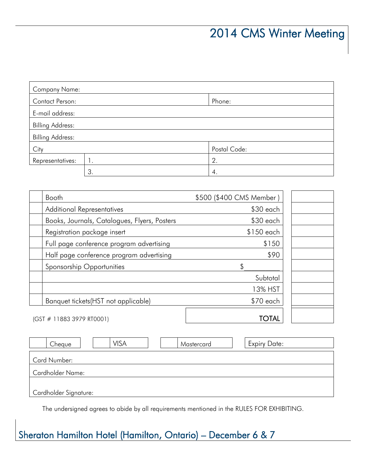| <b>Company Name:</b>    |    |              |  |
|-------------------------|----|--------------|--|
| Contact Person:         |    | Phone:       |  |
| E-mail address:         |    |              |  |
| <b>Billing Address:</b> |    |              |  |
| <b>Billing Address:</b> |    |              |  |
| City                    |    | Postal Code: |  |
| Representatives:        | Ι. | 2.           |  |
|                         | 3. | 4.           |  |

| Booth                                        | \$500 (\$400 CMS Member) |  |  |
|----------------------------------------------|--------------------------|--|--|
| <b>Additional Representatives</b>            | $$30$ each               |  |  |
| Books, Journals, Catalogues, Flyers, Posters | $$30$ each               |  |  |
| Registration package insert                  | $$150$ each              |  |  |
| Full page conference program advertising     | \$150                    |  |  |
| Half page conference program advertising     | \$90                     |  |  |
| Sponsorship Opportunities                    | \$                       |  |  |
|                                              | Subtotal                 |  |  |
|                                              | 13% HST                  |  |  |
| Banquet tickets (HST not applicable)         | $$70$ each               |  |  |
| (GST # 11883 3979 RT0001)                    | TOTAL                    |  |  |

| Cheque                  | VISA | Mastercard | <b>Expiry Date:</b> |  |
|-------------------------|------|------------|---------------------|--|
| Card Number:            |      |            |                     |  |
| <b>Cardholder Name:</b> |      |            |                     |  |
| Cardholder Signature:   |      |            |                     |  |

The undersigned agrees to abide by all requirements mentioned in the RULES FOR EXHIBITING.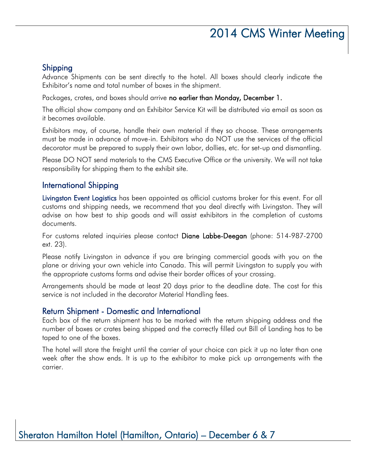## Shipping

Advance Shipments can be sent directly to the hotel. All boxes should clearly indicate the Exhibitor's name and total number of boxes in the shipment.

Packages, crates, and boxes should arrive no earlier than Monday, December 1.

The official show company and an Exhibitor Service Kit will be distributed via email as soon as it becomes available.

Exhibitors may, of course, handle their own material if they so choose. These arrangements must be made in advance of move-in. Exhibitors who do NOT use the services of the official decorator must be prepared to supply their own labor, dollies, etc. for set-up and dismantling.

Please DO NOT send materials to the CMS Executive Office or the university. We will not take responsibility for shipping them to the exhibit site.

## International Shipping

Livingston Event Logisticshas been appointed as official customs broker for this event. For all customs and shipping needs, we recommend that you deal directly with Livingston. They will advise on how best to ship goods and will assist exhibitors in the completion of customs documents.

For customs related inquiries please contact Diane Labbe-Deegan (phone: 514-987-2700 ext. 23).

Please notify Livingston in advance if you are bringing commercial goods with you on the plane or driving your own vehicle into Canada. This will permit Livingston to supply you with the appropriate customs forms and advise their border offices of your crossing.

Arrangements should be made at least 20 days prior to the deadline date. The cost for this service is not included in the decorator Material Handling fees.

#### Return Shipment - Domestic and International

Each box of the return shipment has to be marked with the return shipping address and the number of boxes or crates being shipped and the correctly filled out Bill of Landing has to be taped to one of the boxes.

The hotel will store the freight until the carrier of your choice can pick it up no later than one week after the show ends. It is up to the exhibitor to make pick up arrangements with the carrier.